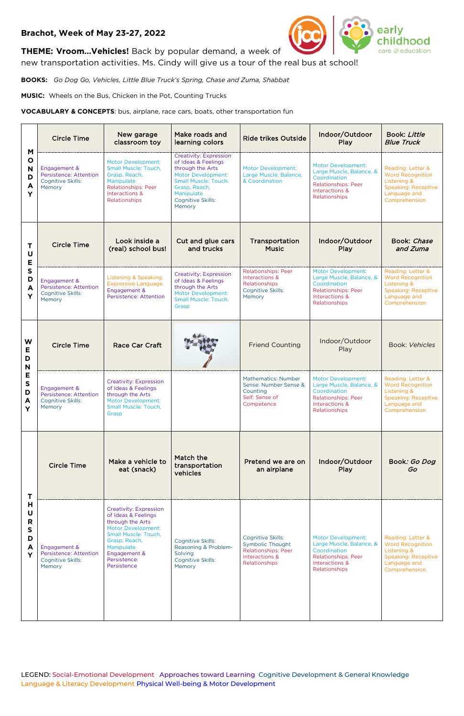LEGEND: Social-Emotional Development Approaches toward Learning Cognitive Development & General Knowledge Language & Literacy Development Physical Well-being & Motor Development

## **Brachot, Week of May 23-27, 2022**



**THEME: Vroom…Vehicles!** Back by popular demand, a week of

new transportation activities. Ms. Cindy will give us a tour of the real bus at school!

**BOOKS:** *Go Dog Go, Vehicles, Little Blue Truck's Spring, Chase and Zuma, Shabbat*

**MUSIC:** Wheels on the Bus, Chicken in the Pot, Counting Trucks

**VOCABULARY & CONCEPTS**: bus, airplane, race cars, boats, other transportation fun

| M<br>$\mathbf{o}$<br>N<br>D<br>A<br>Y      | <b>Circle Time</b>                                                                  | New garage<br>classroom toy                                                                                                                                                                          | Make roads and<br>learning colors                                                                                                                                                                  | <b>Ride trikes Outside</b>                                                                             | Indoor/Outdoor<br>Play                                                                                                                 | Book: Little<br><b>Blue Truck</b>                                                                                                     |
|--------------------------------------------|-------------------------------------------------------------------------------------|------------------------------------------------------------------------------------------------------------------------------------------------------------------------------------------------------|----------------------------------------------------------------------------------------------------------------------------------------------------------------------------------------------------|--------------------------------------------------------------------------------------------------------|----------------------------------------------------------------------------------------------------------------------------------------|---------------------------------------------------------------------------------------------------------------------------------------|
|                                            | Engagement &<br>Persistence: Attention<br><b>Cognitive Skills:</b><br>Memory        | Motor Development:<br>Small Muscle: Touch,<br>Grasp, Reach,<br>Manipulate<br><b>Relationships: Peer</b><br>Interactions &<br>Relationships                                                           | <b>Creativity: Expression</b><br>of Ideas & Feelings<br>through the Arts<br><b>Motor Development:</b><br>Small Muscle: Touch,<br>Grasp, Reach,<br>Manipulate<br><b>Cognitive Skills:</b><br>Memory | <b>Motor Development:</b><br>Large Muscle, Balance,<br>& Coordination                                  | <b>Motor Development:</b><br>Large Muscle, Balance, &<br>Coordination<br><b>Relationships: Peer</b><br>Interactions &<br>Relationships | Reading: Letter &<br><b>Word Recognition</b><br><b>Listening &amp;</b><br><b>Speaking: Receptive</b><br>Language and<br>Comprehension |
| Τ<br>U<br>Е<br>$\mathsf{s}$<br>D<br>A<br>Y | <b>Circle Time</b>                                                                  | Look inside a<br>(real) school bus!                                                                                                                                                                  | Cut and glue cars<br>and trucks                                                                                                                                                                    | Transportation<br><b>Music</b>                                                                         | Indoor/Outdoor<br>Play                                                                                                                 | Book: Chase<br>and Zuma                                                                                                               |
|                                            | Engagement &<br>Persistence: Attention<br><b>Cognitive Skills:</b><br>Memory        | Listening & Speaking:<br><b>Expressive Language</b><br>Engagement &<br>Persistence: Attention                                                                                                        | <b>Creativity: Expression</b><br>of Ideas & Feelings<br>through the Arts<br><b>Motor Development:</b><br><b>Small Muscle: Touch.</b><br>Grasp                                                      | <b>Relationships: Peer</b><br>Interactions &<br>Relationships<br><b>Cognitive Skills:</b><br>Memory    | <b>Motor Development:</b><br>Large Muscle, Balance, &<br>Coordination<br><b>Relationships: Peer</b><br>Interactions &<br>Relationships | Reading: Letter &<br><b>Word Recognition</b><br><b>Listening &amp;</b><br><b>Speaking: Receptive</b><br>Language and<br>Comprehension |
| W<br>Е<br>D<br>N<br>E<br>S<br>D<br>A<br>Y  | <b>Circle Time</b>                                                                  | <b>Race Car Craft</b>                                                                                                                                                                                |                                                                                                                                                                                                    | <b>Friend Counting</b>                                                                                 | Indoor/Outdoor<br>Play                                                                                                                 | <b>Book: Vehicles</b>                                                                                                                 |
|                                            | Engagement &<br><b>Persistence: Attention</b><br><b>Cognitive Skills:</b><br>Memory | <b>Creativity: Expression</b><br>of Ideas & Feelings<br>through the Arts<br><b>Motor Development:</b><br>Small Muscle: Touch,<br>Grasp                                                               |                                                                                                                                                                                                    | <b>Mathematics: Number</b><br>Sense: Number Sense &<br>Counting<br>Self: Sense of<br>Competence        | <b>Motor Development:</b><br>Large Muscle, Balance, &<br>Coordination<br><b>Relationships: Peer</b><br>Interactions &<br>Relationships | Reading: Letter &<br><b>Word Recognition</b><br><b>Listening &amp;</b><br><b>Speaking: Receptive</b><br>Language and<br>Comprehension |
| T<br>Н<br>U<br>R<br>S<br>D<br>A<br>Y       | <b>Circle Time</b>                                                                  | Make a vehicle to<br>eat (snack)                                                                                                                                                                     | Match the<br>transportation<br>vehicles                                                                                                                                                            | Pretend we are on<br>an airplane                                                                       | Indoor/Outdoor<br>Play                                                                                                                 | Book: Go Dog<br>Go                                                                                                                    |
|                                            | Engagement &<br>Persistence: Attention<br>Cognitive Skills:<br>Memory               | <b>Creativity: Expression</b><br>of Ideas & Feelings<br>through the Arts<br>Motor Development:<br>Small Muscle: Touch,<br>Grasp, Reach,<br>Manipulate<br>Engagement &<br>Persistence:<br>Persistence | Cognitive Skills:<br>Reasoning & Problem-<br>Solving<br>Cognitive Skills:<br>Memory                                                                                                                | Cognitive Skills:<br>Symbolic Thought<br><b>Relationships: Peer</b><br>Interactions &<br>Relationships | <b>Motor Development:</b><br>Large Muscle, Balance, &<br>Coordination<br><b>Relationships: Peer</b><br>Interactions &<br>Relationships | Reading: Letter &<br><b>Word Recognition</b><br><b>Listening &amp;</b><br><b>Speaking: Receptive</b><br>Language and<br>Comprehension |